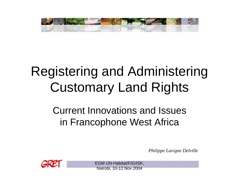

# Registering and Administering Customary Land Rights

### Current Innovations and Issues in Francophone West Africa

*Philippe Lavigne Delville*



EGM UN-Habitat/FIG/ISK, Nairobi, 10-12 Nov 2004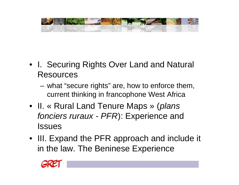

- I. Securing Rights Over Land and Natural Resources
	- what "secure rights" are, how to enforce them, current thinking in francophone West Africa
- II. « Rural Land Tenure Maps » (*plans fonciers ruraux - PFR*): Experience and **Issues**
- III. Expand the PFR approach and include it in the law. The Beninese Experience

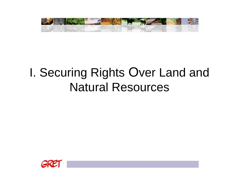

## I. Securing Rights Over Land and Natural Resources

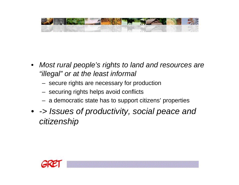

- *Most rural people's rights to land and resources are "illegal" or at the least informal* 
	- secure rights are necessary for production
	- securing rights helps avoid conflicts
	- a democratic state has to support citizens' properties
- *-> Issues of productivity, social peace and citizenship*

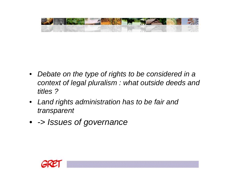

- *Debate on the type of rights to be considered in a context of legal pluralism : what outside deeds and titles ?*
- *Land rights administration has to be fair and transparent*
- *-> Issues of governance*

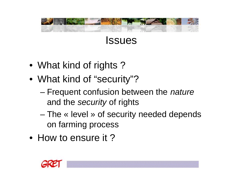



- What kind of rights?
- What kind of "security"?
	- Frequent confusion between the *nature* and the *security* of rights
	- The « level » of security needed depends on farming process
- How to ensure it?

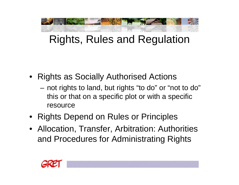

## Rights, Rules and Regulation

- Rights as Socially Authorised Actions
	- not rights to land, but rights "to do" or "not to do" this or that on a specific plot or with a specific resource
- Rights Depend on Rules or Principles
- Allocation, Transfer, Arbitration: Authorities and Procedures for Administrating Rights

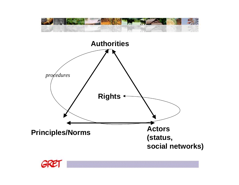



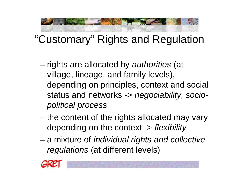## "Customary" Rights and Regulation

- rights are allocated by *authorities* (at village, lineage, and family levels), depending on principles, context and social status and networks -> *negociability, sociopolitical process*
- the content of the rights allocated may vary depending on the context -> *flexibility*
- a mixture of *individual rights and collective regulations* (at different levels)

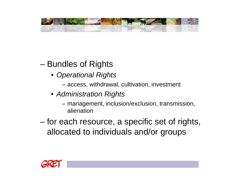

### – Bundles of Rights

- *Operational Rights*
	- access, withdrawal, cultivation, investment
- *Administration Rights*
	- management, inclusion/exclusion, transmission, alienation
- for each resource, a specific set of rights, allocated to individuals and/or groups

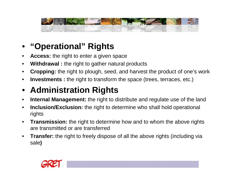

### • **"Operational" Rights**

- **Access:** the right to enter a given space
- **Withdrawal :** the right to gather natural products
- **Cropping:** the right to plough, seed, and harvest the product of one's work
- **Investments :** the right to transform the space (trees, terraces, etc.)

### • **Administration Rights**

- **Internal Management:** the right to distribute and regulate use of the land
- **Inclusion/Exclusion:** the right to determine who shall hold operational rights
- **Transmission:** the right to determine how and to whom the above rights are transmitted or are transferred
- **Transfer:** the right to freely dispose of all the above rights (including via sale**)**

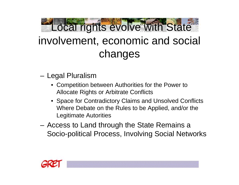

## involvement, economic and social changes

- Legal Pluralism
	- Competition between Authorities for the Power to Allocate Rights or Arbitrate Conflicts
	- Space for Contradictory Claims and Unsolved Conflicts Where Debate on the Rules to be Applied, and/or the Legitimate Autorities
- Access to Land through the State Remains a Socio-political Process, Involving Social Networks

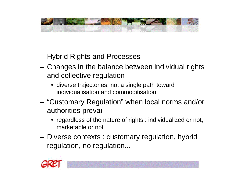

- Hybrid Rights and Processes
- Changes in the balance between individual rights and collective regulation
	- diverse trajectories, not a single path toward individualisation and commoditisation
- "Customary Regulation" when local norms and/or authorities prevail
	- regardless of the nature of rights : individualized or not, marketable or not
- Diverse contexts : customary regulation, hybrid regulation, no regulation...

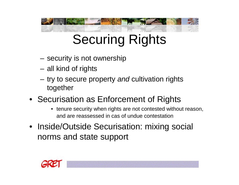# Securing Rights

- security is not ownership
- all kind of rights
- try to secure property *and* cultivation rights together
- Securisation as Enforcement of Rights
	- tenure security when rights are not contested without reason, and are reassessed in cas of undue contestation
- Inside/Outside Securisation: mixing social norms and state support

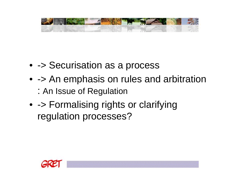

- - > Securisation as a process
- - > An emphasis on rules and arbitration
	- : An Issue of Regulation
- - > Formalising rights or clarifying regulation processes?

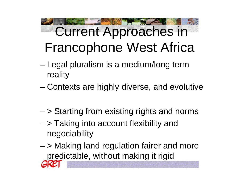# Current Approaches in Francophone West Africa

- Legal pluralism is a medium/long term reality
- Contexts are highly diverse, and evolutive
- > Starting from existing rights and norms
- > Taking into account flexibility and negociability
- > Making land regulation fairer and more predictable, without making it rigid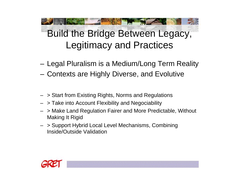## Build the Bridge Between Legacy, Legitimacy and Practices

- Legal Pluralism is a Medium/Long Term Reality
- Contexts are Highly Diverse, and Evolutive
- > Start from Existing Rights, Norms and Regulations
- > Take into Account Flexibility and Negociability
- > Make Land Regulation Fairer and More Predictable, Without Making It Rigid
- > Support Hybrid Local Level Mechanisms, Combining Inside/Outside Validation

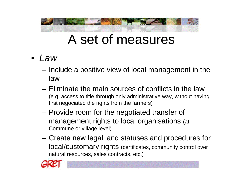## A set of measures

- *Law*
	- Include a positive view of local management in the law
	- Eliminate the main sources of conflicts in the law (e.g. access to title through only administrative way, without having first negociated the rights from the farmers)
	- Provide room for the negotiated transfer of management rights to local organisations (at Commune or village level)
	- Create new legal land statuses and procedures for local/customary rights (certificates, community control over natural resources, sales contracts, etc.)

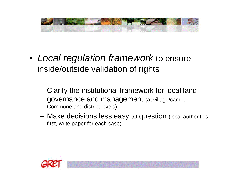

- *Local regulation framework* to ensure inside/outside validation of rights
	- Clarify the institutional framework for local land governance and management (at village/camp, Commune and district levels)
	- Make decisions less easy to question (local authorities first, write paper for each case)

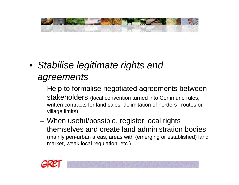

### • *Stabilise legitimate rights and agreements*

- Help to formalise negotiated agreements between stakeholders (local convention turned into Commune rules; written contracts for land sales; delimitation of herders ' routes or village limits)
- When useful/possible, register local rights themselves and create land administration bodies (mainly peri-urban areas, areas with (emerging or established) land market, weak local regulation, etc.)

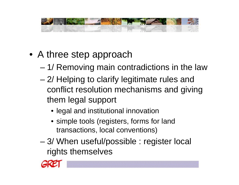

- A three step approach
	- 1/ Removing main contradictions in the law
	- 2/ Helping to clarify legitimate rules and conflict resolution mechanisms and giving them legal support
		- legal and institutional innovation
		- simple tools (registers, forms for land transactions, local conventions)
	- 3/ When useful/possible : register local rights themselves

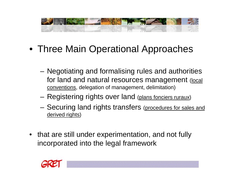

- Three Main Operational Approaches
	- Negotiating and formalising rules and authorities for land and natural resources management (local conventions, delegation of management, delimitation)
	- Registering rights over land (plans fonciers ruraux)
	- Securing land rights transfers (procedures for sales and derived rights)
- that are still under experimentation, and not fully incorporated into the legal framework

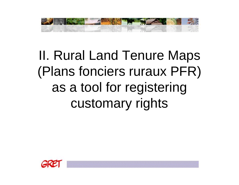

II. Rural Land Tenure Maps (Plans fonciers ruraux PFR) as a tool for registering customary rights

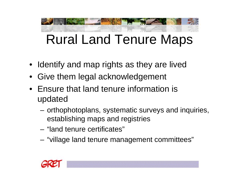# Rural Land Tenure Maps

- Identify and map rights as they are lived
- Give them legal acknowledgement
- Ensure that land tenure information is updated
	- orthophotoplans, systematic surveys and inquiries, establishing maps and registries
	- "land tenure certificates"
	- "village land tenure management committees"

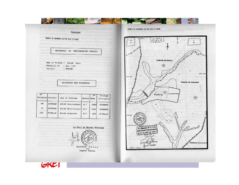

GKEI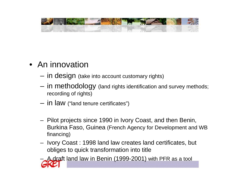

- An innovation
	- in design (take into account customary rights)
	- in methodology (land rights identification and survey methods; recording of rights)
	- in law ("land tenure certificates")
	- Pilot projects since 1990 in Ivory Coast, and then Benin, Burkina Faso, Guinea (French Agency for Development and WB financing)
	- Ivory Coast : 1998 land law creates land certificates, but obliges to quick transformation into title

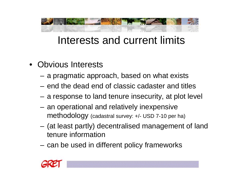

### Interests and current limits

- Obvious Interests
	- a pragmatic approach, based on what exists
	- end the dead end of classic cadaster and titles
	- a response to land tenure insecurity, at plot level
	- an operational and relatively inexpensive methodology (cadastral survey: +/- USD 7-10 per ha)
	- (at least partly) decentralised management of land tenure information
	- can be used in different policy frameworks

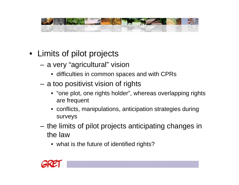

- Limits of pilot projects
	- a very "agricultural" vision
		- difficulties in common spaces and with CPRs
	- a too positivist vision of rights
		- "one plot, one rights holder", whereas overlapping rights are frequent
		- conflicts, manipulations, anticipation strategies during surveys
	- the limits of pilot projects anticipating changes in the law
		- what is the future of identified rights?

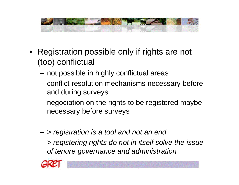

- Registration possible only if rights are not (too) conflictual
	- not possible in highly conflictual areas
	- conflict resolution mechanisms necessary before and during surveys
	- negociation on the rights to be registered maybe necessary before surveys
	- *> registration is a tool and not an end*
	- *> registering rights do not in itself solve the issue of tenure governance and administration*

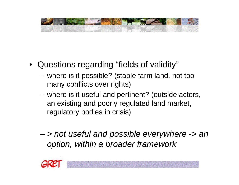

- Questions regarding "fields of validity"
	- where is it possible? (stable farm land, not too many conflicts over rights)
	- where is it useful and pertinent? (outside actors, an existing and poorly regulated land market, regulatory bodies in crisis)
	- *> not useful and possible everywhere -> an option, within a broader framework*

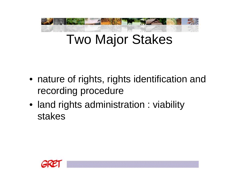

## Two Major Stakes

- nature of rights, rights identification and recording procedure
- land rights administration : viability stakes

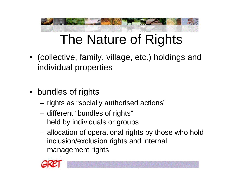

## The Nature of Rights

- (collective, family, village, etc.) holdings and individual properties
- bundles of rights
	- rights as "socially authorised actions"
	- different "bundles of rights" held by individuals or groups
	- allocation of operational rights by those who hold inclusion/exclusion rights and internal management rights

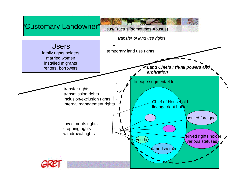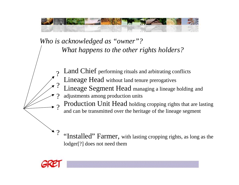

*Who is acknowledged as "owner"? What happens to the other rights holders?*

- Land Chief performing rituals and arbitrating conflicts ?
	- Lineage Head without land tenure prerogatives
- Lineage Segment Head managing a lineage holding and ?
- adjustments among production units ?
- Production Unit Head holding cropping rights that are lasting and can be transmitted over the heritage of the lineage segment ?
- "Installed" Farmer, with lasting cropping rights, as long as the lodger[?] does not need them ?

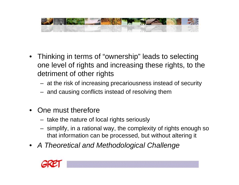

- Thinking in terms of "ownership" leads to selecting one level of rights and increasing these rights, to the detriment of other rights
	- at the risk of increasing precariousness instead of security
	- and causing conflicts instead of resolving them
- One must therefore
	- take the nature of local rights seriously
	- simplify, in a rational way, the complexity of rights enough so that information can be processed, but without altering it
- *A Theoretical and Methodological Challenge*

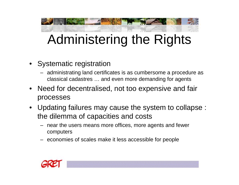

## Administering the Rights

- Systematic registration
	- administrating land certificates is as cumbersome a procedure as classical cadastres … and even more demanding for agents
- Need for decentralised, not too expensive and fair processes
- Updating failures may cause the system to collapse : the dilemma of capacities and costs
	- near the users means more offices, more agents and fewer computers
	- economies of scales make it less accessible for people

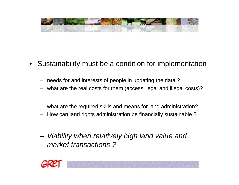

- Sustainability must be a condition for implementation
	- needs for and interests of people in updating the data ?
	- what are the real costs for them (access, legal and illegal costs)?
	- what are the required skills and means for land administration?
	- How can land rights administration be financially sustainable ?
	- *Viability when relatively high land value and market transactions ?*

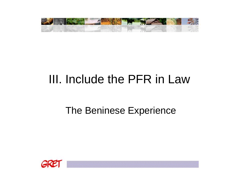

## III. Include the PFR in Law

### The Beninese Experience

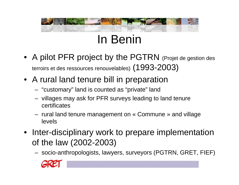## In Benin

- A pilot PFR project by the PGTRN (Projet de gestion des terroirs et des ressources renouvelables) (1993-2003)
- A rural land tenure bill in preparation
	- "customary" land is counted as "private" land
	- villages may ask for PFR surveys leading to land tenure certificates
	- rural land tenure management on « Commune » and village levels
- Inter-disciplinary work to prepare implementation of the law (2002-2003)
	- socio-anthropologists, lawyers, surveyors (PGTRN, GRET, FIEF)

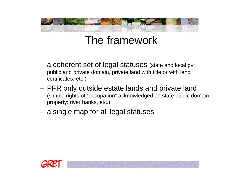## The framework

- a coherent set of legal statuses (state and local gvt public and private domain, private land with title or with land certificates, etc.)
- PFR only outside estate lands and private land (simple rights of "occupation" acknowledged on state public domain property: river banks, etc.)
- a single map for all legal statuses

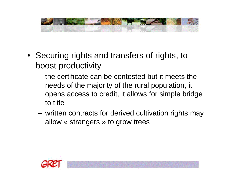

- Securing rights and transfers of rights, to boost productivity
	- the certificate can be contested but it meets the needs of the majority of the rural population, it opens access to credit, it allows for simple bridge to title
	- written contracts for derived cultivation rights may allow « strangers » to grow trees

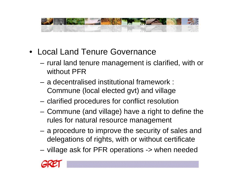

- Local Land Tenure Governance
	- rural land tenure management is clarified, with or without PFR
	- a decentralised institutional framework : Commune (local elected gvt) and village
	- clarified procedures for conflict resolution
	- Commune (and village) have a right to define the rules for natural resource management
	- a procedure to improve the security of sales and delegations of rights, with or without certificate
	- village ask for PFR operations -> when needed

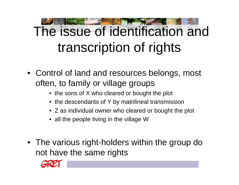# The issue of identification and transcription of rights

- Control of land and resources belongs, most often, to family or village groups
	- the sons of X who cleared or bought the plot
	- the descendants of Y by matrilineal transmission
	- Z as individual owner who cleared or bought the plot
	- all the people living in the village W
- The various right-holders within the group do not have the same rights

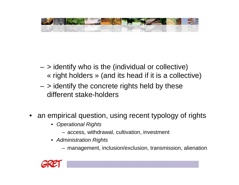

- $-$  > identify who is the (individual or collective) « right holders » (and its head if it is a collective)
- $-$  > identify the concrete rights held by these different stake-holders
- an empirical question, using recent typology of rights
	- *Operational Rights*
		- access, withdrawal, cultivation, investment
	- *Administration Rights*
		- management, inclusion/exclusion, transmission, alienation

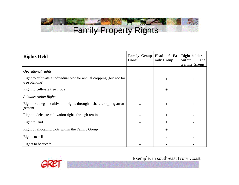### STATISTICS OF THE THE Family Property Rights

| <b>Rights Held</b>                                                                      | <b>Family Group</b><br><b>Concil</b> | Head of Fa-<br>mily Group | <b>Right-holder</b><br>within<br>the<br><b>Family Group</b> |
|-----------------------------------------------------------------------------------------|--------------------------------------|---------------------------|-------------------------------------------------------------|
| Operational rights                                                                      |                                      |                           |                                                             |
| Right to cultivate a individual plot for annual cropping (but not for<br>tree planting) |                                      | $+$                       | $^{+}$                                                      |
| Right to cultivate tree crops                                                           |                                      | $^{+}$                    |                                                             |
| <b>Administration Rights</b>                                                            |                                      |                           |                                                             |
| Right to delegate cultivation rights through a share-cropping arran-<br>gement          |                                      | $\! + \!$                 | $^{+}$                                                      |
| Right to delegate cultivation rights through renting                                    |                                      | $+$                       |                                                             |
| Right to lend                                                                           |                                      | $+$                       |                                                             |
| Right of allocating plots within the Family Group                                       |                                      | $+$                       |                                                             |
| Rights to sell                                                                          | $\pm$                                |                           |                                                             |
| Rights to bequeath                                                                      |                                      |                           |                                                             |



Exemple, in south-east Ivory Coast

 $\Xi_{ab}$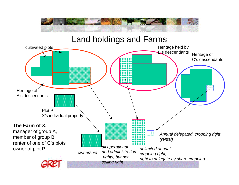

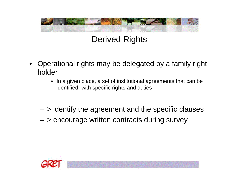

Derived Rights

- Operational rights may be delegated by a family right holder
	- In a given place, a set of institutional agreements that can be identified, with specific rights and duties
	- $-$  > identify the agreement and the specific clauses
	- > encourage written contracts during survey

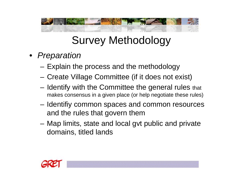## Survey Methodology

- *Preparation* 
	- Explain the process and the methodology
	- Create Village Committee (if it does not exist)
	- Identify with the Committee the general rules that makes consensus in a given place (or help negotiate these rules)
	- Identifiy common spaces and common resources and the rules that govern them
	- Map limits, state and local gvt public and private domains, titled lands

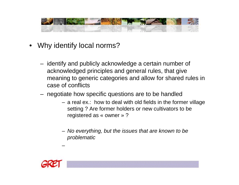

- Why identify local norms?
	- identify and publicly acknowledge a certain number of acknowledged principles and general rules, that give meaning to generic categories and allow for shared rules in case of conflicts
	- negotiate how specific questions are to be handled
		- a real ex.: how to deal with old fields in the former village setting ? Are former holders or new cultivators to be registered as « owner » ?
		- *No everything, but the issues that are known to be problematic*



–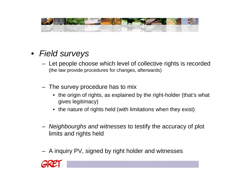

- *Field surveys*
	- Let people choose which level of collective rights is recorded (the law provide procedures for changes, afterwards)
	- The survey procedure has to mix
		- the origin of rights, as explained by the right-holder (that's what gives legitimacy)
		- the nature of rights held (with limitations when they exist)
	- *Neighbourghs and witnesses* to testify the accuracy of plot limits and rights held
	- A inquiry PV, signed by right holder and witnesses

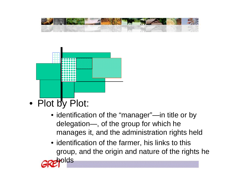



- Plot by Plot:
	- identification of the "manager"-in title or by delegation—, of the group for which he manages it, and the administration rights held
	- identification of the farmer, his links to this group, and the origin and nature of the rights he

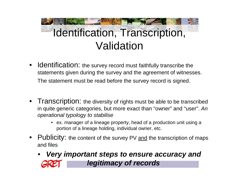# Identification, Transcription, Validation

- Identification: the survey record must faithfully transcribe the statements given during the survey and the agreement of witnesses. The statement must be read before the survey record is signed.
- Transcription: the diversity of rights must be able to be transcribed in quite generic categories, but more exact than "owner" and "user". *An operational typology to stabilise* 
	- ex. manager of a lineage property, head of a production unit using a portion of a lineage holding, individual owner, etc.
- Publicity: the content of the survey PV and the transcription of maps and files
	- *Very important steps to ensure accuracy and legitimacy of records*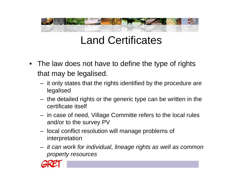## Land Certificates

- The law does not have to define the type of rights that may be legalised.
	- it only states that the rights identified by the procedure are legalised
	- the detailed rights or the generic type can be written in the certificate itself
	- in case of need, Village Committe refers to the local rules and/or to the survey PV
	- local conflict resolution will manage problems of interpretation
	- *it can work for individual, lineage rights as well as common property resources*

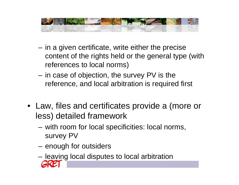

- in a given certificate, write either the precise content of the rights held or the general type (with references to local norms)
- in case of objection, the survey PV is the reference, and local arbitration is required first
- Law, files and certificates provide a (more or less) detailed framework
	- with room for local specificities: local norms, survey PV
	- enough for outsiders
	- leaving local disputes to local arbitration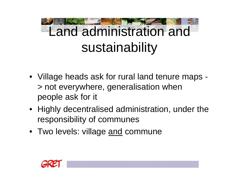# Land administration and sustainability

- Village heads ask for rural land tenure maps > not everywhere, generalisation when people ask for it
- Highly decentralised administration, under the responsibility of communes
- Two levels: village and commune

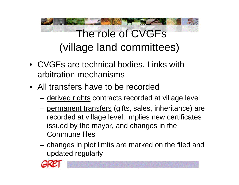

- CVGFs are technical bodies. Links with arbitration mechanisms
- All transfers have to be recorded
	- derived rights contracts recorded at village level
	- permanent transfers (gifts, sales, inheritance) are recorded at village level, implies new certificates issued by the mayor, and changes in the Commune files
	- changes in plot limits are marked on the filed and updated regularly

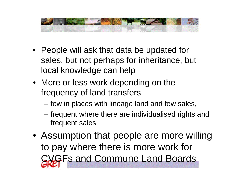

- People will ask that data be updated for sales, but not perhaps for inheritance, but local knowledge can help
- More or less work depending on the frequency of land transfers
	- few in places with lineage land and few sales,
	- frequent where there are individualised rights and frequent sales
- Assumption that people are more willing to pay where there is more work for CVGFs and Commune Land Boards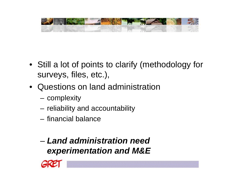

- Still a lot of points to clarify (methodology for surveys, files, etc.),
- Questions on land administration
	- complexity
	- reliability and accountability
	- financial balance
	- *Land administration need experimentation and M&E*

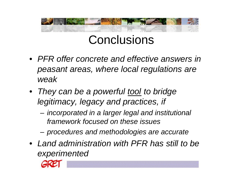

## **Conclusions**

- *PFR offer concrete and effective answers in peasant areas, where local regulations are weak*
- *They can be a powerful tool to bridge legitimacy, legacy and practices, if* 
	- *incorporated in a larger legal and institutional framework focused on these issues*
	- *procedures and methodologies are accurate*
- *Land administration with PFR has still to be experimented*